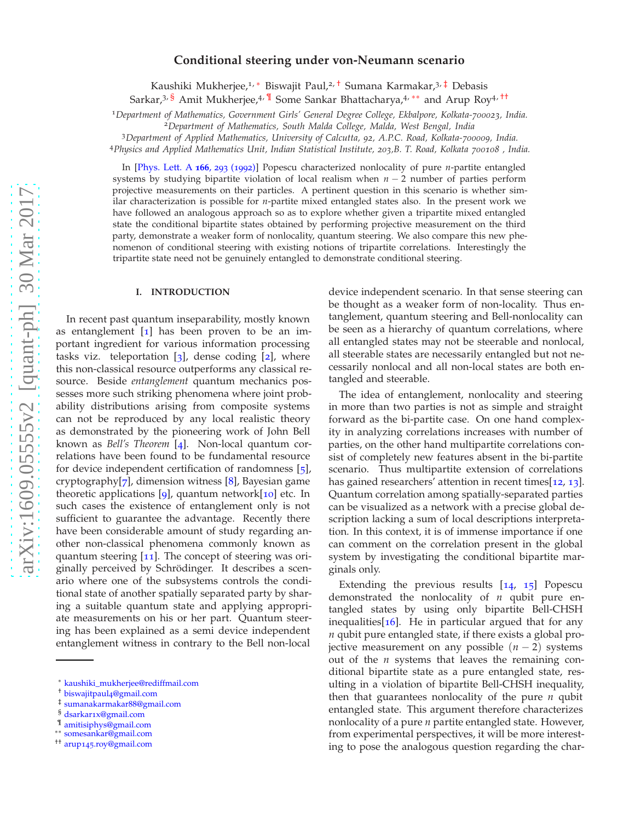# **Conditional steering under von-Neumann scenario**

Kaushiki Mukherjee,<sup>1, \*</sup> Biswajit Paul,<sup>2, [†](#page-0-1)</sup> Sumana Karmakar,<sup>3, [‡](#page-0-2)</sup> Debasis

Sarkar,<sup>3, [§](#page-0-3)</sup> Amit Mukherjee,<sup>4, [¶](#page-0-4)</sup> Some Sankar Bhattacharya,<sup>4,\*\*</sup> and Arup Roy<sup>4,[††](#page-0-6)</sup>

<sup>1</sup>*Department of Mathematics, Government Girls' General Degree College, Ekbalpore, Kolkata-700023, India.* <sup>2</sup>*Department of Mathematics, South Malda College, Malda, West Bengal, India*

<sup>3</sup>*Department of Applied Mathematics, University of Calcutta, 92, A.P.C. Road, Kolkata-700009, India.*

<sup>4</sup>*Physics and Applied Mathematics Unit, Indian Statistical Institute, 203,B. T. Road, Kolkata 700108 , India.*

In [\[Phys. Lett. A](http://www.sciencedirect.com/science/article/pii/037596019290711T) **166**, 293 (1992)] Popescu characterized nonlocality of pure *n*-partite entangled systems by studying bipartite violation of local realism when *n* − 2 number of parties perform projective measurements on their particles. A pertinent question in this scenario is whether similar characterization is possible for *n*-partite mixed entangled states also. In the present work we have followed an analogous approach so as to explore whether given a tripartite mixed entangled state the conditional bipartite states obtained by performing projective measurement on the third party, demonstrate a weaker form of nonlocality, quantum steering. We also compare this new phenomenon of conditional steering with existing notions of tripartite correlations. Interestingly the tripartite state need not be genuinely entangled to demonstrate conditional steering.

#### **I. INTRODUCTION**

In recent past quantum inseparability, mostly known as entanglement  $\begin{bmatrix} 1 \end{bmatrix}$  has been proven to be an important ingredient for various information processing tasks viz. teleportation  $\begin{bmatrix} 3 \end{bmatrix}$  $\begin{bmatrix} 3 \end{bmatrix}$  $\begin{bmatrix} 3 \end{bmatrix}$ , dense coding  $\begin{bmatrix} 2 \end{bmatrix}$  $\begin{bmatrix} 2 \end{bmatrix}$  $\begin{bmatrix} 2 \end{bmatrix}$ , where this non-classical resource outperforms any classical resource. Beside *entanglement* quantum mechanics possesses more such striking phenomena where joint probability distributions arising from composite systems can not be reproduced by any local realistic theory as demonstrated by the pioneering work of John Bell known as *Bell's Theorem* [[4](#page-9-2)]. Non-local quantum correlations have been found to be fundamental resource for device independent certification of randomness [[5](#page-9-3)], cryptography $[7]$  $[7]$  $[7]$ , dimension witness [[8](#page-9-5)], Bayesian game theoretic applications  $[q]$ , quantum network $[i]$  etc. In such cases the existence of entanglement only is not sufficient to guarantee the advantage. Recently there have been considerable amount of study regarding another non-classical phenomena commonly known as quantum steering [[11](#page-9-8)]. The concept of steering was originally perceived by Schrödinger. It describes a scenario where one of the subsystems controls the conditional state of another spatially separated party by sharing a suitable quantum state and applying appropriate measurements on his or her part. Quantum steering has been explained as a semi device independent entanglement witness in contrary to the Bell non-local

device independent scenario. In that sense steering can be thought as a weaker form of non-locality. Thus entanglement, quantum steering and Bell-nonlocality can be seen as a hierarchy of quantum correlations, where all entangled states may not be steerable and nonlocal, all steerable states are necessarily entangled but not necessarily nonlocal and all non-local states are both entangled and steerable.

The idea of entanglement, nonlocality and steering in more than two parties is not as simple and straight forward as the bi-partite case. On one hand complexity in analyzing correlations increases with number of parties, on the other hand multipartite correlations consist of completely new features absent in the bi-partite scenario. Thus multipartite extension of correlations has gained researchers' attention in recent times[[12](#page-9-9), [13](#page-9-10)]. Quantum correlation among spatially-separated parties can be visualized as a network with a precise global description lacking a sum of local descriptions interpretation. In this context, it is of immense importance if one can comment on the correlation present in the global system by investigating the conditional bipartite marginals only.

Extending the previous results  $[14, 15]$  $[14, 15]$  $[14, 15]$  $[14, 15]$  $[14, 15]$  Popescu demonstrated the nonlocality of *n* qubit pure entangled states by using only bipartite Bell-CHSH inequalities[ $16$ ]. He in particular argued that for any *n* qubit pure entangled state, if there exists a global projective measurement on any possible  $(n - 2)$  systems out of the *n* systems that leaves the remaining conditional bipartite state as a pure entangled state, resulting in a violation of bipartite Bell-CHSH inequality, then that guarantees nonlocality of the pure *n* qubit entangled state. This argument therefore characterizes nonlocality of a pure *n* partite entangled state. However, from experimental perspectives, it will be more interesting to pose the analogous question regarding the char-

<span id="page-0-0"></span><sup>∗</sup> [kaushiki\\_mukherjee@rediffmail.com](mailto:kaushiki_mukherjee@rediffmail.com)

<span id="page-0-1"></span><sup>†</sup> [biswajitpaul](mailto:biswajitpaul4@gmail.com)4@gmail.com

<span id="page-0-2"></span><sup>‡</sup> [sumanakarmakar](mailto:sumanakarmakar88@gmail.com)88@gmail.com

<span id="page-0-3"></span><sup>§</sup> dsarkar1[x@gmail.com](mailto:dsarkar1x@gmail.com)

<span id="page-0-4"></span><sup>¶</sup> [amitisiphys@gmail.com](mailto:amitisiphys@gmail.com)

<span id="page-0-5"></span><sup>∗∗</sup> [somesankar@gmail.com](mailto:somesankar@gmail.com)

<span id="page-0-6"></span><sup>††</sup> arup145[.roy@gmail.com](mailto:arup145.roy@gmail.com)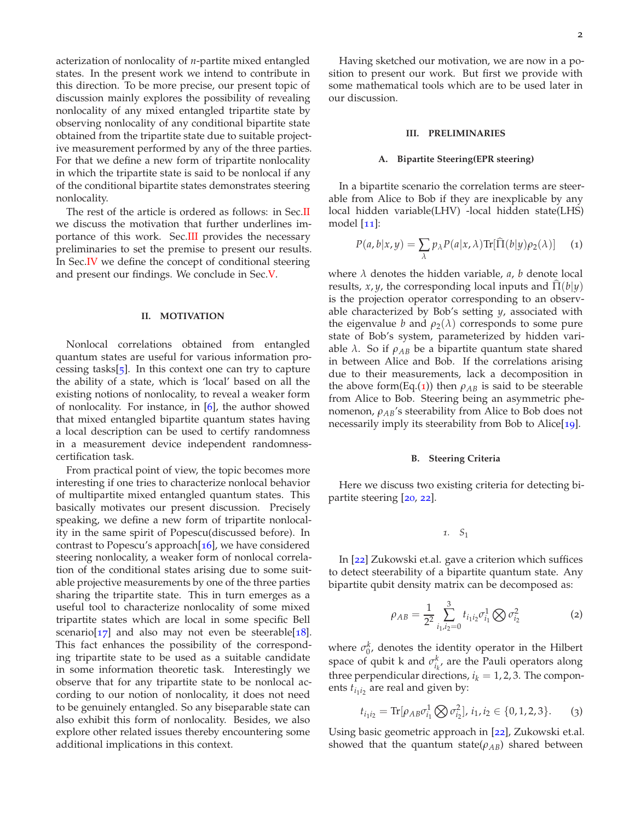acterization of nonlocality of *n*-partite mixed entangled states. In the present work we intend to contribute in this direction. To be more precise, our present topic of discussion mainly explores the possibility of revealing nonlocality of any mixed entangled tripartite state by observing nonlocality of any conditional bipartite state obtained from the tripartite state due to suitable projective measurement performed by any of the three parties. For that we define a new form of tripartite nonlocality in which the tripartite state is said to be nonlocal if any of the conditional bipartite states demonstrates steering nonlocality.

The rest of the article is ordered as follows: in Sec[.II](#page-1-0) we discuss the motivation that further underlines importance of this work. Sec[.III](#page-1-1) provides the necessary preliminaries to set the premise to present our results. In Sec[.IV](#page-3-0) we define the concept of conditional steering and present our findings. We conclude in Sec[.V.](#page-8-0)

#### <span id="page-1-0"></span>**II. MOTIVATION**

Nonlocal correlations obtained from entangled quantum states are useful for various information processing tasks[ $\frac{1}{2}$ ]. In this context one can try to capture the ability of a state, which is 'local' based on all the existing notions of nonlocality, to reveal a weaker form of nonlocality. For instance, in  $[6]$  $[6]$  $[6]$ , the author showed that mixed entangled bipartite quantum states having a local description can be used to certify randomness in a measurement device independent randomnesscertification task.

From practical point of view, the topic becomes more interesting if one tries to characterize nonlocal behavior of multipartite mixed entangled quantum states. This basically motivates our present discussion. Precisely speaking, we define a new form of tripartite nonlocality in the same spirit of Popescu(discussed before). In contrast to Popescu's approach $[16]$  $[16]$  $[16]$ , we have considered steering nonlocality, a weaker form of nonlocal correlation of the conditional states arising due to some suitable projective measurements by one of the three parties sharing the tripartite state. This in turn emerges as a useful tool to characterize nonlocality of some mixed tripartite states which are local in some specific Bell scenario[ $17$ ] and also may not even be steerable[ $18$ ]. This fact enhances the possibility of the corresponding tripartite state to be used as a suitable candidate in some information theoretic task. Interestingly we observe that for any tripartite state to be nonlocal according to our notion of nonlocality, it does not need to be genuinely entangled. So any biseparable state can also exhibit this form of nonlocality. Besides, we also explore other related issues thereby encountering some additional implications in this context.

Having sketched our motivation, we are now in a position to present our work. But first we provide with some mathematical tools which are to be used later in our discussion.

#### <span id="page-1-1"></span>**III. PRELIMINARIES**

### **A. Bipartite Steering(EPR steering)**

In a bipartite scenario the correlation terms are steerable from Alice to Bob if they are inexplicable by any local hidden variable(LHV) -local hidden state(LHS) model  $\lceil 11 \rceil$  $\lceil 11 \rceil$  $\lceil 11 \rceil$ :

<span id="page-1-2"></span>
$$
P(a,b|x,y) = \sum_{\lambda} p_{\lambda} P(a|x,\lambda) \text{Tr}[\widehat{\Pi}(b|y)\rho_2(\lambda)] \quad (1)
$$

where  $\lambda$  denotes the hidden variable,  $a$ ,  $b$  denote local results, *x*, *y*, the corresponding local inputs and  $\Pi(b|\gamma)$ is the projection operator corresponding to an observable characterized by Bob's setting *y*, associated with the eigenvalue *b* and  $\rho_2(\lambda)$  corresponds to some pure state of Bob's system, parameterized by hidden variable  $\lambda$ . So if  $\rho_{AB}$  be a bipartite quantum state shared in between Alice and Bob. If the correlations arising due to their measurements, lack a decomposition in the above form(Eq.([1](#page-1-2))) then  $\rho_{AB}$  is said to be steerable from Alice to Bob. Steering being an asymmetric phenomenon, *ρAB*'s steerability from Alice to Bob does not necessarily imply its steerability from Bob to Alice[[19](#page-9-17)].

#### **B. Steering Criteria**

Here we discuss two existing criteria for detecting bipartite steering [[20](#page-9-18), [22](#page-9-19)].

<span id="page-1-3"></span>*1. S*<sup>1</sup>

In [[22](#page-9-19)] Zukowski et.al. gave a criterion which suffices to detect steerability of a bipartite quantum state. Any bipartite qubit density matrix can be decomposed as:

$$
\rho_{AB} = \frac{1}{2^2} \sum_{i_1, i_2=0}^{3} t_{i_1 i_2} \sigma_{i_1}^1 \bigotimes \sigma_{i_2}^2 \tag{2}
$$

where  $\sigma_0^k$ , denotes the identity operator in the Hilbert space of qubit k and  $\sigma_{i_k}^k$ , are the Pauli operators along three perpendicular directions,  $i_k = 1, 2, 3$ . The components  $t_{i_1 i_2}$  are real and given by:

<span id="page-1-4"></span>
$$
t_{i_1 i_2} = \text{Tr}[\rho_{AB} \sigma_{i_1}^1 \bigotimes \sigma_{i_2}^2], i_1, i_2 \in \{0, 1, 2, 3\}. \tag{3}
$$

Using basic geometric approach in [[22](#page-9-19)], Zukowski et.al. showed that the quantum state( $\rho_{AB}$ ) shared between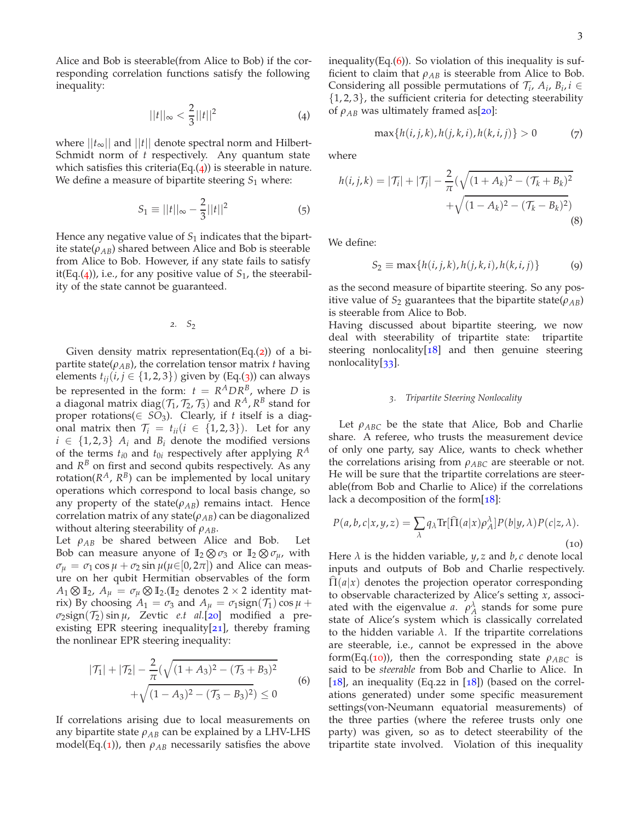Alice and Bob is steerable(from Alice to Bob) if the corresponding correlation functions satisfy the following inequality:

<span id="page-2-0"></span>
$$
||t||_{\infty} < \frac{2}{3}||t||^2
$$
 (4)

where  $||t_{\infty}||$  and  $||t||$  denote spectral norm and Hilbert-Schmidt norm of *t* respectively. Any quantum state which satisfies this criteria(Eq. $(4)$  $(4)$  $(4)$ ) is steerable in nature. We define a measure of bipartite steering  $S_1$  where:

$$
S_1 \equiv ||t||_{\infty} - \frac{2}{3}||t||^2 \tag{5}
$$

Hence any negative value of  $S_1$  indicates that the bipartite state( $\rho_{AB}$ ) shared between Alice and Bob is steerable from Alice to Bob. However, if any state fails to satisfy it(Eq.([4](#page-2-0))), i.e., for any positive value of  $S_1$ , the steerability of the state cannot be guaranteed.

$$
2. \quad S_2
$$

Given density matrix representation(Eq. $(2)$  $(2)$  $(2)$ ) of a bipartite state( $\rho_{AB}$ ), the correlation tensor matrix *t* having elements  $t_{ij}$ ( $i, j \in \{1, 2, 3\}$  $i, j \in \{1, 2, 3\}$  $i, j \in \{1, 2, 3\}$ ) given by (Eq.(3)) can always be represented in the form:  $t = R^A D R^B$ , where *D* is a diagonal matrix diag( $\mathcal{T}_1$ ,  $\mathcal{T}_2$ ,  $\mathcal{T}_3$ ) and  $R^A$ ,  $R^B$  stand for proper rotations( $\in SO_3$ ). Clearly, if *t* itself is a diagonal matrix then  $\mathcal{T}_i = t_{ii}$  ( $i \in \{1, 2, 3\}$ ). Let for any  $i \in \{1, 2, 3\}$   $A_i$  and  $B_i$  denote the modified versions of the terms  $t_{i0}$  and  $t_{0i}$  respectively after applying  $R^A$ and  $R^B$  on first and second qubits respectively. As any rotation( $R^A$ ,  $R^B$ ) can be implemented by local unitary operations which correspond to local basis change, so any property of the state( $\rho_{AB}$ ) remains intact. Hence correlation matrix of any state( $\rho_{AB}$ ) can be diagonalized without altering steerability of  $\rho_{AB}$ .

Let  $\rho_{AB}$  be shared between Alice and Bob. Let Bob can measure anyone of  $\mathbb{I}_2 \otimes \sigma_3$  or  $\mathbb{I}_2 \otimes \sigma_\mu$ , with  $\sigma_{\mu} = \sigma_1 \cos \mu + \sigma_2 \sin \mu (\mu \in ]0, 2\pi]$  and Alice can measure on her qubit Hermitian observables of the form  $A_1 \otimes \mathbb{I}_2$ ,  $A_\mu = \sigma_\mu \otimes \mathbb{I}_2$ .( $\mathbb{I}_2$  denotes  $2 \times 2$  identity matrix) By choosing  $A_1 = \sigma_3$  and  $A_\mu = \sigma_1$ sign( $\mathcal{T}_1$ ) cos  $\mu$  +  $\sigma_2$ sign( $\mathcal{T}_2$ ) sin  $\mu$ , Zevtic *e.t al*.[[20](#page-9-18)] modified a preexisting EPR steering inequality $[21]$  $[21]$  $[21]$ , thereby framing the nonlinear EPR steering inequality:

$$
|\mathcal{T}_1| + |\mathcal{T}_2| - \frac{2}{\pi} (\sqrt{(1 + A_3)^2 - (\mathcal{T}_3 + B_3)^2} + \sqrt{(1 - A_3)^2 - (\mathcal{T}_3 - B_3)^2}) \le 0
$$
 (6)

If correlations arising due to local measurements on any bipartite state  $\rho_{AB}$  can be explained by a LHV-LHS model(Eq.([1](#page-1-2))), then  $\rho_{AB}$  necessarily satisfies the above inequality(Eq. $(6)$  $(6)$  $(6)$ ). So violation of this inequality is sufficient to claim that  $\rho_{AB}$  is steerable from Alice to Bob. Considering all possible permutations of  $\mathcal{T}_i$ ,  $A_i$ ,  $B_i$ ,  $i \in$  $\{1, 2, 3\}$ , the sufficient criteria for detecting steerability of  $\rho_{AB}$  was ultimately framed as[[20](#page-9-18)]:

$$
\max\{h(i,j,k), h(j,k,i), h(k,i,j)\} > 0
$$
 (7)

<span id="page-2-3"></span>where

$$
h(i,j,k) = |\mathcal{T}_i| + |\mathcal{T}_j| - \frac{2}{\pi} (\sqrt{(1 + A_k)^2 - (\mathcal{T}_k + B_k)^2} + \sqrt{(1 - A_k)^2 - (\mathcal{T}_k - B_k)^2})
$$
\n(8)

We define:

<span id="page-2-4"></span>
$$
S_2 \equiv \max\{h(i,j,k), h(j,k,i), h(k,i,j)\}\tag{9}
$$

as the second measure of bipartite steering. So any positive value of  $S_2$  guarantees that the bipartite state( $\rho_{AB}$ ) is steerable from Alice to Bob.

Having discussed about bipartite steering, we now deal with steerability of tripartite state: tripartite steering nonlocality $[18]$  $[18]$  $[18]$  and then genuine steering nonlocality[[33](#page-10-0)].

### <span id="page-2-2"></span>*3. Tripartite Steering Nonlocality*

Let  $\rho_{ABC}$  be the state that Alice, Bob and Charlie share. A referee, who trusts the measurement device of only one party, say Alice, wants to check whether the correlations arising from *ρABC* are steerable or not. He will be sure that the tripartite correlations are steerable(from Bob and Charlie to Alice) if the correlations lack a decomposition of the form $[18]$  $[18]$  $[18]$ :

$$
P(a,b,c|x,y,z) = \sum_{\lambda} q_{\lambda} \text{Tr}[\hat{\Pi}(a|x)\rho_{A}^{\lambda}] P(b|y,\lambda) P(c|z,\lambda).
$$
\n(10)

<span id="page-2-1"></span>Here  $\lambda$  is the hidden variable,  $y$ ,  $z$  and  $b$ ,  $c$  denote local inputs and outputs of Bob and Charlie respectively.  $\Pi(a|x)$  denotes the projection operator corresponding to observable characterized by Alice's setting *x*, associated with the eigenvalue *a*.  $\rho_A^{\lambda}$  stands for some pure state of Alice's system which is classically correlated to the hidden variable  $\lambda$ . If the tripartite correlations are steerable, i.e., cannot be expressed in the above form(Eq.([10](#page-2-2))), then the corresponding state  $\rho_{ABC}$  is said to be *steerable* from Bob and Charlie to Alice. In [ $18$ ], an inequality (Eq.22 in [ $18$ ]) (based on the correlations generated) under some specific measurement settings(von-Neumann equatorial measurements) of the three parties (where the referee trusts only one party) was given, so as to detect steerability of the tripartite state involved. Violation of this inequality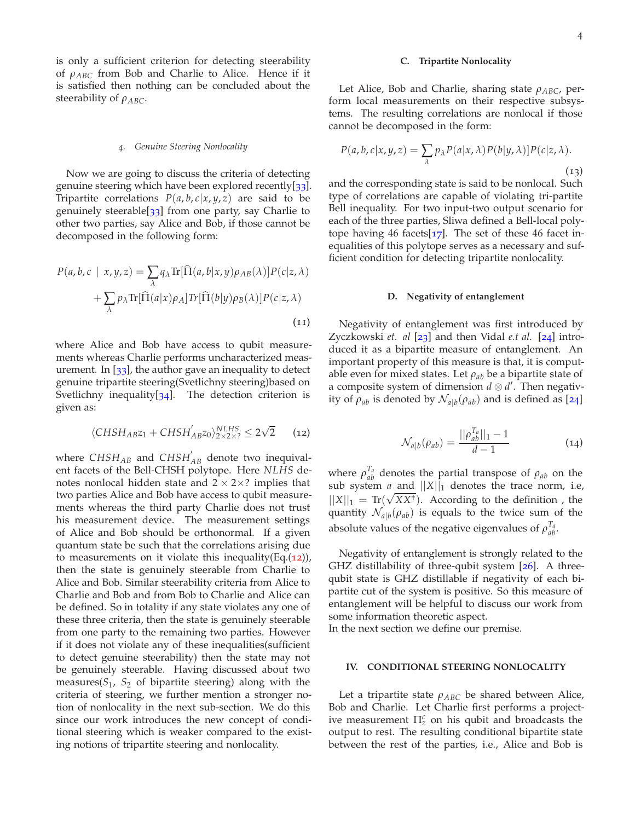is only a sufficient criterion for detecting steerability of *ρABC* from Bob and Charlie to Alice. Hence if it is satisfied then nothing can be concluded about the steerability of *ρABC*.

#### *4. Genuine Steering Nonlocality*

Now we are going to discuss the criteria of detecting genuine steering which have been explored recently[[33](#page-10-0)]. Tripartite correlations  $P(a, b, c | x, y, z)$  are said to be genuinely steerable[ $33$ ] from one party, say Charlie to other two parties, say Alice and Bob, if those cannot be decomposed in the following form:

$$
P(a, b, c | x, y, z) = \sum_{\lambda} q_{\lambda} \text{Tr}[\hat{\Pi}(a, b | x, y) \rho_{AB}(\lambda)] P(c | z, \lambda)
$$

$$
+ \sum_{\lambda} p_{\lambda} \text{Tr}[\hat{\Pi}(a | x) \rho_{A}] Tr[\hat{\Pi}(b | y) \rho_{B}(\lambda)] P(c | z, \lambda)
$$
(11)

where Alice and Bob have access to qubit measurements whereas Charlie performs uncharacterized measurement. In  $[33]$  $[33]$  $[33]$ , the author gave an inequality to detect genuine tripartite steering(Svetlichny steering)based on Svetlichny inequality $[34]$  $[34]$  $[34]$ . The detection criterion is given as:

<span id="page-3-1"></span>
$$
\langle CHSH_{AB}z_1+CHSH_{AB}^{'}z_0\rangle_{2\times2\times2}^{NLHS}\leq2\sqrt{2}\qquad \ (12)
$$

where *CHSHAB* and *CHSH*′ *AB* denote two inequivalent facets of the Bell-CHSH polytope. Here *NLHS* denotes nonlocal hidden state and  $2 \times 2 \times$ ? implies that two parties Alice and Bob have access to qubit measurements whereas the third party Charlie does not trust his measurement device. The measurement settings of Alice and Bob should be orthonormal. If a given quantum state be such that the correlations arising due to measurements on it violate this inequality(Eq. $(12)$  $(12)$  $(12)$ ), then the state is genuinely steerable from Charlie to Alice and Bob. Similar steerability criteria from Alice to Charlie and Bob and from Bob to Charlie and Alice can be defined. So in totality if any state violates any one of these three criteria, then the state is genuinely steerable from one party to the remaining two parties. However if it does not violate any of these inequalities(sufficient to detect genuine steerability) then the state may not be genuinely steerable. Having discussed about two measures( $S_1$ ,  $S_2$  of bipartite steering) along with the criteria of steering, we further mention a stronger notion of nonlocality in the next sub-section. We do this since our work introduces the new concept of conditional steering which is weaker compared to the existing notions of tripartite steering and nonlocality.

#### **C. Tripartite Nonlocality**

Let Alice, Bob and Charlie, sharing state *ρABC*, perform local measurements on their respective subsystems. The resulting correlations are nonlocal if those cannot be decomposed in the form:

$$
P(a,b,c|x,y,z) = \sum_{\lambda} p_{\lambda} P(a|x,\lambda) P(b|y,\lambda)] P(c|z,\lambda).
$$
\n(13)

and the corresponding state is said to be nonlocal. Such type of correlations are capable of violating tri-partite Bell inequality. For two input-two output scenario for each of the three parties, Sliwa defined a Bell-local polytope having 46 facets $[17]$  $[17]$  $[17]$ . The set of these 46 facet inequalities of this polytope serves as a necessary and sufficient condition for detecting tripartite nonlocality.

### **D. Negativity of entanglement**

Negativity of entanglement was first introduced by Zyczkowski *et. al* [[23](#page-9-21)] and then Vidal *e.t al.* [[24](#page-9-22)] introduced it as a bipartite measure of entanglement. An important property of this measure is that, it is computable even for mixed states. Let  $\rho_{ab}$  be a bipartite state of a composite system of dimension *d* ⊗ *d* ′ . Then negativity of  $\rho_{ab}$  is denoted by  $\mathcal{N}_{a|b}(\rho_{ab})$  and is defined as [[24](#page-9-22)]

$$
\mathcal{N}_{a|b}(\rho_{ab}) = \frac{||\rho_{ab}^{T_a}||_1 - 1}{d - 1} \tag{14}
$$

where  $\rho_{ab}^{T_a}$  denotes the partial transpose of  $\rho_{ab}$  on the sub system *a* and  $||X||_1$  denotes the trace norm, i.e,  $||X||_1 = \text{Tr}(\sqrt{XX^{\dagger}})$ . According to the definition, the quantity  $\mathcal{N}_{a|b}(\rho_{ab})$  is equals to the twice sum of the absolute values of the negative eigenvalues of  $\rho_{ab}^{T_a}$ .

Negativity of entanglement is strongly related to the GHZ distillability of three-qubit system [26]. A threequbit state is GHZ distillable if negativity of each bipartite cut of the system is positive. So this measure of entanglement will be helpful to discuss our work from some information theoretic aspect.

In the next section we define our premise.

### <span id="page-3-0"></span>**IV. CONDITIONAL STEERING NONLOCALITY**

Let a tripartite state *ρABC* be shared between Alice, Bob and Charlie. Let Charlie first performs a projective measurement  $\Pi_z^c$  on his qubit and broadcasts the output to rest. The resulting conditional bipartite state between the rest of the parties, i.e., Alice and Bob is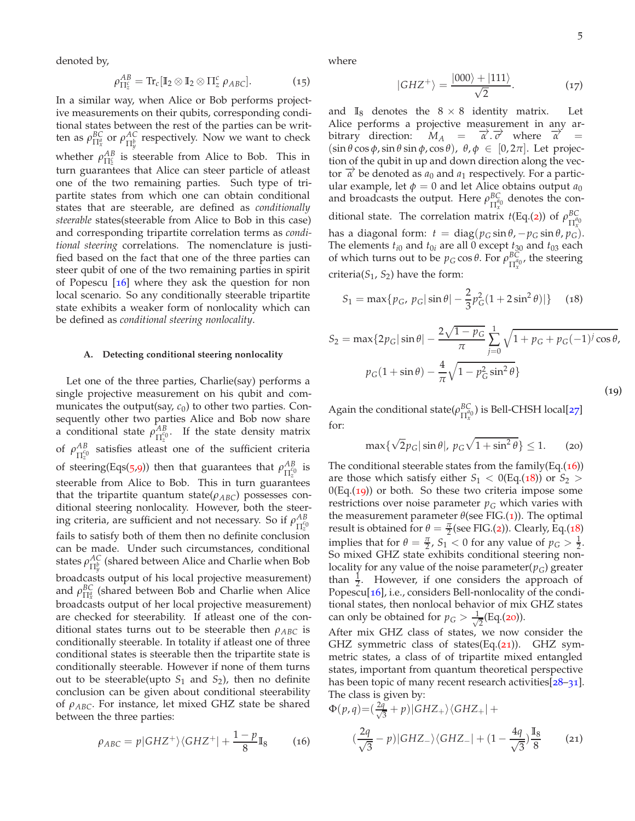denoted by,

$$
\rho_{\Pi_2^c}^{AB} = \text{Tr}_c [\mathbb{I}_2 \otimes \mathbb{I}_2 \otimes \Pi_2^c \, \rho_{ABC}]. \tag{15}
$$

In a similar way, when Alice or Bob performs projective measurements on their qubits, corresponding conditional states between the rest of the parties can be written as  $\rho_{\Pi^a_x}^{BC}$  or  $\rho_{\Pi^b_y}^{AC}$  respectively. Now we want to check whether  $\rho_{\Pi_z^c}^{AB}$  is steerable from Alice to Bob. This in turn guarantees that Alice can steer particle of atleast one of the two remaining parties. Such type of tripartite states from which one can obtain conditional states that are steerable, are defined as *conditionally steerable* states(steerable from Alice to Bob in this case) and corresponding tripartite correlation terms as *conditional steering* correlations. The nomenclature is justified based on the fact that one of the three parties can steer qubit of one of the two remaining parties in spirit of Popescu  $[16]$  $[16]$  $[16]$  where they ask the question for non local scenario. So any conditionally steerable tripartite state exhibits a weaker form of nonlocality which can be defined as *conditional steering nonlocality*.

### **A. Detecting conditional steering nonlocality**

Let one of the three parties, Charlie(say) performs a single projective measurement on his qubit and communicates the output(say,  $c_0$ ) to other two parties. Consequently other two parties Alice and Bob now share a conditional state  $\rho_{\pi q}^{AB}$  $\frac{AB}{\Pi_2^{c_0}}$ . If the state density matrix of  $\rho_{\Pi^{\mathcal{C}_{\mathcal{C}}}}^{AB}$  $\frac{AB}{\Pi_2^{c_0}}$  satisfies atleast one of the sufficient criteria of steering(Eqs([5](#page-2-3),[9](#page-2-4))) then that guarantees that  $\rho_{\text{H}^{eq}}^{AB}$  $\frac{AB}{\Pi_z^{c_0}}$  is steerable from Alice to Bob. This in turn guarantees that the tripartite quantum state( $\rho_{ABC}$ ) possesses conditional steering nonlocality. However, both the steering criteria, are sufficient and not necessary. So if  $\rho_{\text{H}_1^{\text{C}_0}}^{AB}$  $\Pi_z^{c_0}$ fails to satisfy both of them then no definite conclusion can be made. Under such circumstances, conditional states *ρ AC* Π*b y* (shared between Alice and Charlie when Bob broadcasts output of his local projective measurement) and  $\rho_{\Pi_x^q}^{BC}$  (shared between Bob and Charlie when Alice broadcasts output of her local projective measurement) are checked for steerability. If atleast one of the conditional states turns out to be steerable then  $\rho_{ABC}$  is conditionally steerable. In totality if atleast one of three conditional states is steerable then the tripartite state is conditionally steerable. However if none of them turns out to be steerable(upto  $S_1$  and  $S_2$ ), then no definite conclusion can be given about conditional steerability of *ρABC*. For instance, let mixed GHZ state be shared between the three parties:

<span id="page-4-0"></span>
$$
\rho_{ABC} = p|GHZ^{+}\rangle\langle GHZ^{+}| + \frac{1-p}{8}\mathbb{I}_{8}
$$
 (16)

<span id="page-4-5"></span>where

$$
|GHZ^{+}\rangle = \frac{|000\rangle + |111\rangle}{\sqrt{2}}.
$$
 (17)

and  $\mathbb{I}_8$  denotes the  $8 \times 8$  identity matrix. Let Alice performs a projective measurement in any arbitrary direction:  $\vec{\alpha} \cdot \vec{\sigma}$  where  $\vec{\alpha}$  =  $(\sin \theta \cos \phi, \sin \theta \sin \phi, \cos \theta), \theta, \phi \in [0, 2\pi]$ . Let projection of the qubit in up and down direction along the vector  $\overline{\alpha}$  be denoted as  $a_0$  and  $a_1$  respectively. For a particular example, let  $\phi = 0$  and let Alice obtains output  $a_0$ and broadcasts the output. Here *ρ BC*  $\frac{BC}{\prod_x^{a_0}}$  denotes the conditional state. The correlation matrix  $t(Eq_1(z))$  of  $\rho_{\Gamma_{\alpha}}^{BC}$  $\Pi_{r}^{a}0$ has a diagonal form:  $t = diag(p_G sin \theta, -p_G sin \theta, p_G)$ . The elements  $t_{i0}$  and  $t_{0i}$  are all 0 except  $t_{30}$  and  $t_{03}$  each of which turns out to be  $p_G \cos \theta$ . For  $\rho_{\Pi^{a_0}}^{BC}$  $\frac{B\mathsf{C}}{\Pi^{a_0}_{x}}$ , the steering criteria( $S_1$ ,  $S_2$ ) have the form:

<span id="page-4-1"></span>
$$
S_1 = \max\{p_G, p_G |\sin \theta| - \frac{2}{3}p_G^2(1 + 2\sin^2 \theta)|\} \quad (18)
$$

<span id="page-4-2"></span>
$$
S_2 = \max\{2p_G|\sin\theta| - \frac{2\sqrt{1-p_G}}{\pi} \sum_{j=0}^1 \sqrt{1+p_G+p_G(-1)^j \cos\theta},
$$
  

$$
p_G(1+\sin\theta) - \frac{4}{\pi}\sqrt{1-p_G^2 \sin^2\theta}
$$
 (19)

Again the conditional state( $\rho_{\Pi^{q}}^{BC}$  $\frac{BC}{\prod_x^{a_0}}$ ) is Bell-CHSH local[[27](#page-9-23)] for:

<span id="page-4-3"></span>
$$
\max\{\sqrt{2}p_G|\sin\theta|, p_G\sqrt{1+\sin^2\theta}\}\leq 1. \qquad \text{(20)}
$$

The conditional steerable states from the family(Eq. $(16)$  $(16)$  $(16)$ ) are those which satisfy either  $S_1 < 0$ (Eq.([18](#page-4-1))) or  $S_2 >$  $0(Eq.(19))$  $0(Eq.(19))$  $0(Eq.(19))$  or both. So these two criteria impose some restrictions over noise parameter  $p<sub>G</sub>$  which varies with the measurement parameter  $\theta$ (see FIG.([1](#page-5-0))). The optimal result is obtained for  $\theta = \frac{\pi}{2}$  $\theta = \frac{\pi}{2}$  $\theta = \frac{\pi}{2}$  (see FIG.(2)). Clearly, Eq.([18](#page-4-1)) implies that for  $\theta = \frac{\pi}{2}$ ,  $S_1 < 0$  for any value of  $p_G > \frac{1}{2}$ . So mixed GHZ state exhibits conditional steering nonlocality for any value of the noise parameter( $p_G$ ) greater than  $\frac{1}{2}$ . However, if one considers the approach of Popescu<sup>[[16](#page-9-13)]</sup>, i.e., considers Bell-nonlocality of the conditional states, then nonlocal behavior of mix GHZ states can only be obtained for  $p_G > \frac{1}{\sqrt{2}}$  $\frac{1}{2}$ (Eq.([20](#page-4-3))).

After mix GHZ class of states, we now consider the GHZ symmetric class of states(Eq.([21](#page-4-4))). GHZ symmetric states, a class of of tripartite mixed entangled states, important from quantum theoretical perspective has been topic of many recent research activities[[28](#page-10-2)–[31](#page-10-3)]. The class is given by:

<span id="page-4-4"></span>
$$
\Phi(p,q) = \left(\frac{2q}{\sqrt{3}} + p\right) |GHZ_+\rangle \langle GHZ_+| +
$$

$$
\left(\frac{2q}{\sqrt{3}} - p\right) |GHZ_-\rangle \langle GHZ_-| + \left(1 - \frac{4q}{\sqrt{3}}\right) \frac{\mathbb{I}_8}{8} \tag{21}
$$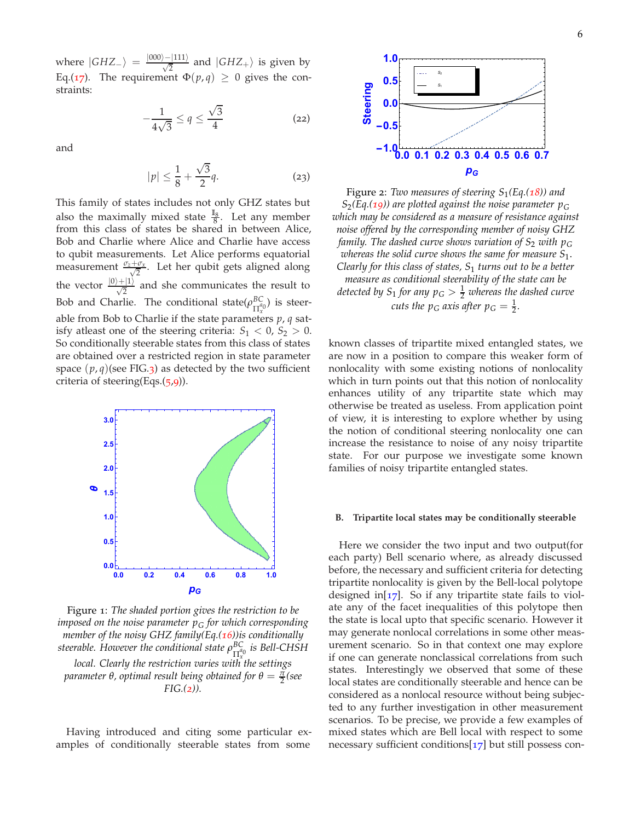where  $|GHZ_-\rangle = \frac{|000\rangle - |111\rangle}{\sqrt{2}}$  and  $|GHZ_+\rangle$  is given by Eq.([17](#page-4-5)). The requirement  $\Phi(p,q) \geq 0$  gives the constraints:

$$
-\frac{1}{4\sqrt{3}} \le q \le \frac{\sqrt{3}}{4} \tag{22}
$$

and

$$
|p| \le \frac{1}{8} + \frac{\sqrt{3}}{2}q.
$$
 (23)

This family of states includes not only GHZ states but also the maximally mixed state  $\frac{I_8}{8}$ . Let any member from this class of states be shared in between Alice, Bob and Charlie where Alice and Charlie have access to qubit measurements. Let Alice performs equatorial measurement  $\frac{\sigma_z + \sigma_x}{\sqrt{2}}$  $\frac{\sigma_x}{2}$ . Let her qubit gets aligned along the vector  $\frac{|0\rangle+|1\rangle}{\sqrt{2}}$  and she communicates the result to Bob and Charlie. The conditional state( $\rho_{\Pi^{a}}^{BC}$  $_{\Pi_{x}^{a_0}}^{BC}$ ) is steerable from Bob to Charlie if the state parameters *p*, *q* satisfy atleast one of the steering criteria:  $S_1 < 0$ ,  $S_2 > 0$ . So conditionally steerable states from this class of states are obtained over a restricted region in state parameter space  $(p, q)$ (see FIG.[3](#page-6-0)) as detected by the two sufficient criteria of steering(Eqs.([5](#page-2-3),[9](#page-2-4))).

<span id="page-5-0"></span>

Figure 1: *The shaded portion gives the restriction to be imposed on the noise parameter p<sup>G</sup> for which corresponding member of the noisy GHZ family(Eq.([16](#page-4-0)))is conditionally steerable. However the conditional state ρ BC* Π *a*0 *x is Bell-CHSH local. Clearly the restriction varies with the settings parameter θ*, *optimal result being obtained for*  $θ = \frac{π}{2}$  (see *FIG.([2](#page-5-1))).*

Having introduced and citing some particular examples of conditionally steerable states from some

<span id="page-5-1"></span>

Figure 2: *Two measures of steering S*1*(Eq.([18](#page-4-1))) and*  $S_2(Eq.(19))$  $S_2(Eq.(19))$  $S_2(Eq.(19))$  are plotted against the noise parameter  $p_G$ *which may be considered as a measure of resistance against noise offered by the corresponding member of noisy GHZ family. The dashed curve shows variation of S*<sup>2</sup> *with p<sup>G</sup> whereas the solid curve shows the same for measure S*1. *Clearly for this class of states, S*<sup>1</sup> *turns out to be a better measure as conditional steerability of the state can be detected by*  $S_1$  *for any*  $p_G > \frac{1}{2}$  *whereas the dashed curve cuts the*  $p_G$  *axis after*  $p_G = \frac{1}{2}$ *.* 

known classes of tripartite mixed entangled states, we are now in a position to compare this weaker form of nonlocality with some existing notions of nonlocality which in turn points out that this notion of nonlocality enhances utility of any tripartite state which may otherwise be treated as useless. From application point of view, it is interesting to explore whether by using the notion of conditional steering nonlocality one can increase the resistance to noise of any noisy tripartite state. For our purpose we investigate some known families of noisy tripartite entangled states.

#### <span id="page-5-2"></span>**B. Tripartite local states may be conditionally steerable**

Here we consider the two input and two output(for each party) Bell scenario where, as already discussed before, the necessary and sufficient criteria for detecting tripartite nonlocality is given by the Bell-local polytope designed in[ $17$ ]. So if any tripartite state fails to violate any of the facet inequalities of this polytope then the state is local upto that specific scenario. However it may generate nonlocal correlations in some other measurement scenario. So in that context one may explore if one can generate nonclassical correlations from such states. Interestingly we observed that some of these local states are conditionally steerable and hence can be considered as a nonlocal resource without being subjected to any further investigation in other measurement scenarios. To be precise, we provide a few examples of mixed states which are Bell local with respect to some necessary sufficient conditions[[17](#page-9-15)] but still possess con-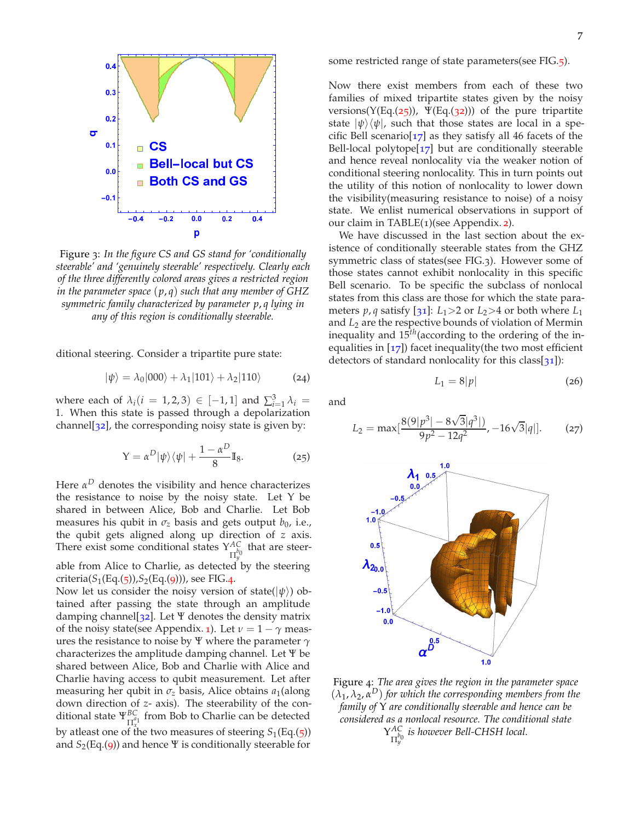<span id="page-6-0"></span>

Figure 3: *In the figure CS and GS stand for 'conditionally steerable' and 'genuinely steerable' respectively. Clearly each of the three differently colored areas gives a restricted region in the parameter space* (*p*, *q*) *such that any member of GHZ symmetric family characterized by parameter p*, *q lying in any of this region is conditionally steerable.*

ditional steering. Consider a tripartite pure state:

$$
|\psi\rangle = \lambda_0|000\rangle + \lambda_1|101\rangle + \lambda_2|110\rangle \tag{24}
$$

where each of  $\lambda_i$  (*i* = 1, 2, 3)  $\in$  [-1, 1] and  $\sum_{i=1}^{3} \lambda_i$  = 1. When this state is passed through a depolarization channel[ $32$ ], the corresponding noisy state is given by:

$$
Y = \alpha^D |\psi\rangle\langle\psi| + \frac{1 - \alpha^D}{8} I_8. \tag{25}
$$

Here *α <sup>D</sup>* denotes the visibility and hence characterizes the resistance to noise by the noisy state. Let Υ be shared in between Alice, Bob and Charlie. Let Bob measures his qubit in  $\sigma_z$  basis and gets output  $b_0$ , i.e., the qubit gets aligned along up direction of *z* axis. There exist some conditional states Υ *AC*  $\prod_{y=0}^{A}$  that are steerable from Alice to Charlie, as detected by the steering

criteria( $S_1(Eq.(5))$  $S_1(Eq.(5))$  $S_1(Eq.(5))$ , $S_2(Eq.(9))$  $S_2(Eq.(9))$  $S_2(Eq.(9))$ ), see FIG.[4](#page-6-1).

Now let us consider the noisy version of state( $|\psi\rangle$ ) obtained after passing the state through an amplitude damping channel[ $32$ ]. Let  $\Psi$  denotes the density matrix of the noisy state(see Appendix. [1](#page-10-5)). Let  $\nu = 1 - \gamma$  measures the resistance to noise by Ψ where the parameter *γ* characterizes the amplitude damping channel. Let Ψ be shared between Alice, Bob and Charlie with Alice and Charlie having access to qubit measurement. Let after measuring her qubit in  $\sigma_z$  basis, Alice obtains  $a_1$ (along down direction of *z*- axis). The steerability of the conditional state  $\Psi_{\Pi_x^{q_1}}^{BC}$  from Bob to Charlie can be detected by atleast one of the two measures of steering  $S_1(Eq.(5))$  $S_1(Eq.(5))$  $S_1(Eq.(5))$ and *S*2(Eq.([9](#page-2-4))) and hence Ψ is conditionally steerable for

some restricted range of state parameters(see FIG.[5](#page-7-0)).

Now there exist members from each of these two families of mixed tripartite states given by the noisy versions( $Y(Eq.(25))$  $Y(Eq.(25))$  $Y(Eq.(25))$ ,  $\Psi(Eq.(32))$  $\Psi(Eq.(32))$  $\Psi(Eq.(32))$ ) of the pure tripartite state  $|\psi\rangle\langle\psi|$ , such that those states are local in a specific Bell scenario $\left[\frac{17}{7}\right]$  $\left[\frac{17}{7}\right]$  $\left[\frac{17}{7}\right]$  as they satisfy all 46 facets of the Bell-local polytope $[17]$  $[17]$  $[17]$  but are conditionally steerable and hence reveal nonlocality via the weaker notion of conditional steering nonlocality. This in turn points out the utility of this notion of nonlocality to lower down the visibility(measuring resistance to noise) of a noisy state. We enlist numerical observations in support of our claim in TABLE(1)(see Appendix. [2](#page-10-7)).

We have discussed in the last section about the existence of conditionally steerable states from the GHZ symmetric class of states(see FIG.3). However some of those states cannot exhibit nonlocality in this specific Bell scenario. To be specific the subclass of nonlocal states from this class are those for which the state parameters *p*, *q* satisfy [[31](#page-10-3)]:  $L_1 > 2$  or  $L_2 > 4$  or both where  $L_1$ and *L*<sup>2</sup> are the respective bounds of violation of Mermin inequality and 15*th*(according to the ordering of the inequalities in  $[17]$  $[17]$  $[17]$ ) facet inequality(the two most efficient detectors of standard nonlocality for this class[[31](#page-10-3)]):

$$
L_1 = 8|p| \tag{26}
$$

<span id="page-6-3"></span><span id="page-6-2"></span>and

$$
L_2 = \max[\frac{8(9|p^3| - 8\sqrt{3}|q^3|)}{9p^2 - 12q^2}, -16\sqrt{3}|q|].
$$
 (27)

<span id="page-6-1"></span>

Figure 4: *The area gives the region in the parameter space*  $(\lambda_1, \lambda_2, \alpha^D)$  for which the corresponding members from the *family of* Υ *are conditionally steerable and hence can be considered as a nonlocal resource. The conditional state* Υ *AC* Π *b*0 *y is however Bell-CHSH local.*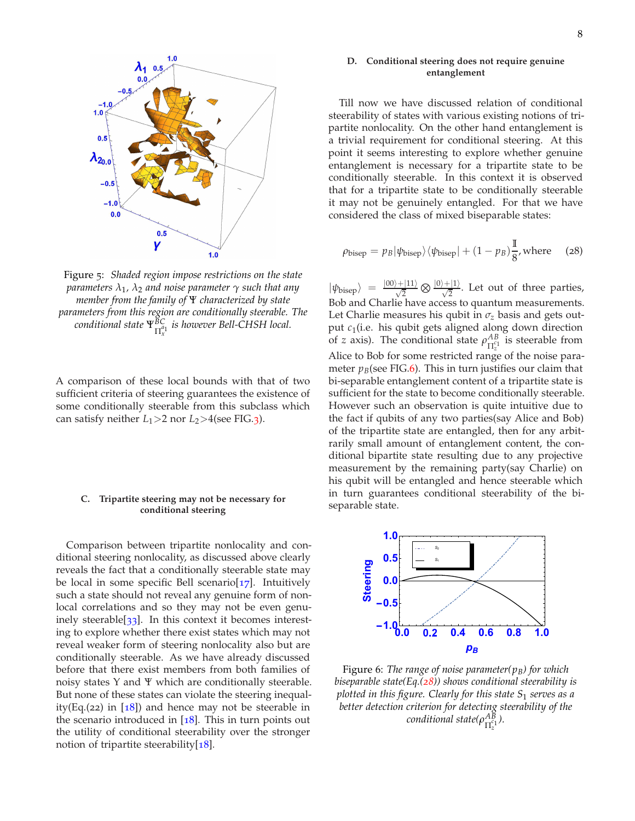<span id="page-7-0"></span>

Figure 5: *Shaded region impose restrictions on the state parameters λ*<sup>1</sup> *, λ*<sup>2</sup> *and noise parameter γ such that any member from the family of* Ψ *characterized by state parameters from this region are conditionally steerable. The conditional state* Ψ*BC* Π *a*1 *x is however Bell-CHSH local.*

A comparison of these local bounds with that of two sufficient criteria of steering guarantees the existence of some conditionally steerable from this subclass which can satisfy neither  $L_1$  > 2 nor  $L_2$  > 4(see FIG.[3](#page-6-0)).

## **C. Tripartite steering may not be necessary for conditional steering**

Comparison between tripartite nonlocality and conditional steering nonlocality, as discussed above clearly reveals the fact that a conditionally steerable state may be local in some specific Bell scenario $[17]$  $[17]$  $[17]$ . Intuitively such a state should not reveal any genuine form of nonlocal correlations and so they may not be even genuinely steerable[[33](#page-10-0)]. In this context it becomes interesting to explore whether there exist states which may not reveal weaker form of steering nonlocality also but are conditionally steerable. As we have already discussed before that there exist members from both families of noisy states Υ and Ψ which are conditionally steerable. But none of these states can violate the steering inequality(Eq.(22) in  $[18]$  $[18]$  $[18]$ ) and hence may not be steerable in the scenario introduced in  $[18]$  $[18]$  $[18]$ . This in turn points out the utility of conditional steerability over the stronger notion of tripartite steerability $[18]$  $[18]$  $[18]$ .

# **D. Conditional steering does not require genuine entanglement**

Till now we have discussed relation of conditional steerability of states with various existing notions of tripartite nonlocality. On the other hand entanglement is a trivial requirement for conditional steering. At this point it seems interesting to explore whether genuine entanglement is necessary for a tripartite state to be conditionally steerable. In this context it is observed that for a tripartite state to be conditionally steerable it may not be genuinely entangled. For that we have considered the class of mixed biseparable states:

<span id="page-7-2"></span>
$$
\rho_{\text{bisep}} = p_B |\psi_{\text{bisep}}\rangle \langle \psi_{\text{bisep}}| + (1 - p_B) \frac{I}{8}, \text{where} \quad (28)
$$

 $|\psi_{\text{bisep}}\rangle = \frac{|00\rangle + |11\rangle}{\sqrt{2}} \otimes \frac{|0\rangle + |1\rangle}{\sqrt{2}}$ . Let out of three parties, Bob and Charlie have access to quantum measurements. Let Charlie measures his qubit in  $\sigma$ <sub>z</sub> basis and gets output *c*<sup>1</sup> (i.e. his qubit gets aligned along down direction of *z* axis). The conditional state  $\rho_{\text{ref}}^{AB}$  $\frac{AB}{\prod_{z}^{c_1}}$  is steerable from Alice to Bob for some restricted range of the noise parameter  $p_B$ (see FIG.[6](#page-7-1)). This in turn justifies our claim that bi-separable entanglement content of a tripartite state is sufficient for the state to become conditionally steerable. However such an observation is quite intuitive due to the fact if qubits of any two parties(say Alice and Bob) of the tripartite state are entangled, then for any arbitrarily small amount of entanglement content, the conditional bipartite state resulting due to any projective measurement by the remaining party(say Charlie) on his qubit will be entangled and hence steerable which in turn guarantees conditional steerability of the biseparable state.

<span id="page-7-1"></span>

Figure 6: *The range of noise parameter(pB) for which biseparable state(Eq.([28](#page-7-2))) shows conditional steerability is plotted in this figure. Clearly for this state S*<sup>1</sup> *serves as a better detection criterion for detecting steerability of the conditional state(ρ AB* Π *c*1 *z ).*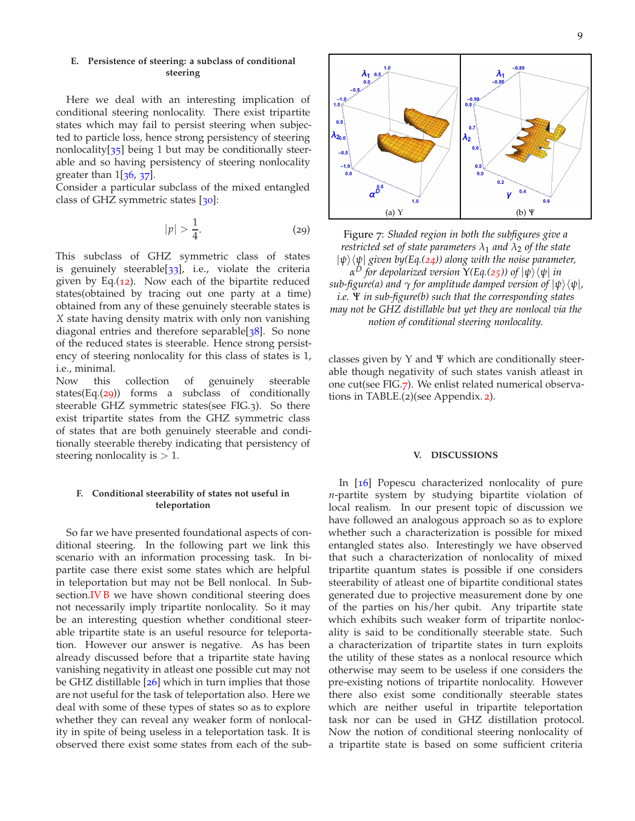# **E. Persistence of steering: a subclass of conditional steering**

Here we deal with an interesting implication of conditional steering nonlocality. There exist tripartite states which may fail to persist steering when subjected to particle loss, hence strong persistency of steering nonlocality $\lceil 35 \rceil$  $\lceil 35 \rceil$  $\lceil 35 \rceil$  being 1 but may be conditionally steerable and so having persistency of steering nonlocality greater than  $1\left[36, 37\right]$  $1\left[36, 37\right]$  $1\left[36, 37\right]$  $1\left[36, 37\right]$  $1\left[36, 37\right]$ .

Consider a particular subclass of the mixed entangled class of GHZ symmetric states [[30](#page-10-11)]:

<span id="page-8-1"></span>
$$
|p| > \frac{1}{4}.\tag{29}
$$

This subclass of GHZ symmetric class of states is genuinely steerable $[33]$  $[33]$  $[33]$ , i.e., violate the criteria given by Eq.([12](#page-3-1)). Now each of the bipartite reduced states(obtained by tracing out one party at a time) obtained from any of these genuinely steerable states is *X* state having density matrix with only non vanishing diagonal entries and therefore separable<sup>[[38](#page-10-12)]</sup>. So none of the reduced states is steerable. Hence strong persistency of steering nonlocality for this class of states is 1, i.e., minimal.

Now this collection of genuinely steerable states(Eq. $(29)$  $(29)$  $(29)$ ) forms a subclass of conditionally steerable GHZ symmetric states(see FIG.3). So there exist tripartite states from the GHZ symmetric class of states that are both genuinely steerable and conditionally steerable thereby indicating that persistency of steering nonlocality is  $> 1$ .

# **F. Conditional steerability of states not useful in teleportation**

So far we have presented foundational aspects of conditional steering. In the following part we link this scenario with an information processing task. In bipartite case there exist some states which are helpful in teleportation but may not be Bell nonlocal. In Subsection[.IV B](#page-5-2) we have shown conditional steering does not necessarily imply tripartite nonlocality. So it may be an interesting question whether conditional steerable tripartite state is an useful resource for teleportation. However our answer is negative. As has been already discussed before that a tripartite state having vanishing negativity in atleast one possible cut may not be GHZ distillable [26] which in turn implies that those are not useful for the task of teleportation also. Here we deal with some of these types of states so as to explore whether they can reveal any weaker form of nonlocality in spite of being useless in a teleportation task. It is observed there exist some states from each of the sub-

<span id="page-8-2"></span>

Figure 7: *Shaded region in both the subfigures give a restricted set of state parameters*  $\lambda_1$  *and*  $\lambda_2$  *of the state*  $|\psi\rangle\langle\psi|$  given by(Eq.([24](#page-6-3))) along with the noise parameter, *α for depolarized version*  $Y(Eq.(25))$  $Y(Eq.(25))$  $Y(Eq.(25))$  *of*  $|\psi\rangle \langle \psi|$  *in sub-figure(a) and*  $\gamma$  *for amplitude damped version of*  $|\psi\rangle\langle\psi|$ *, i.e.* Ψ *in sub-figure(b) such that the corresponding states may not be GHZ distillable but yet they are nonlocal via the notion of conditional steering nonlocality.*

classes given by Υ and Ψ which are conditionally steerable though negativity of such states vanish atleast in one cut(see FIG.[7](#page-8-2)). We enlist related numerical observations in TABLE.(2)(see Appendix. [2](#page-10-7)).

### <span id="page-8-0"></span>**V. DISCUSSIONS**

In [[16](#page-9-13)] Popescu characterized nonlocality of pure *n*-partite system by studying bipartite violation of local realism. In our present topic of discussion we have followed an analogous approach so as to explore whether such a characterization is possible for mixed entangled states also. Interestingly we have observed that such a characterization of nonlocality of mixed tripartite quantum states is possible if one considers steerability of atleast one of bipartite conditional states generated due to projective measurement done by one of the parties on his/her qubit. Any tripartite state which exhibits such weaker form of tripartite nonlocality is said to be conditionally steerable state. Such a characterization of tripartite states in turn exploits the utility of these states as a nonlocal resource which otherwise may seem to be useless if one considers the pre-existing notions of tripartite nonlocality. However there also exist some conditionally steerable states which are neither useful in tripartite teleportation task nor can be used in GHZ distillation protocol. Now the notion of conditional steering nonlocality of a tripartite state is based on some sufficient criteria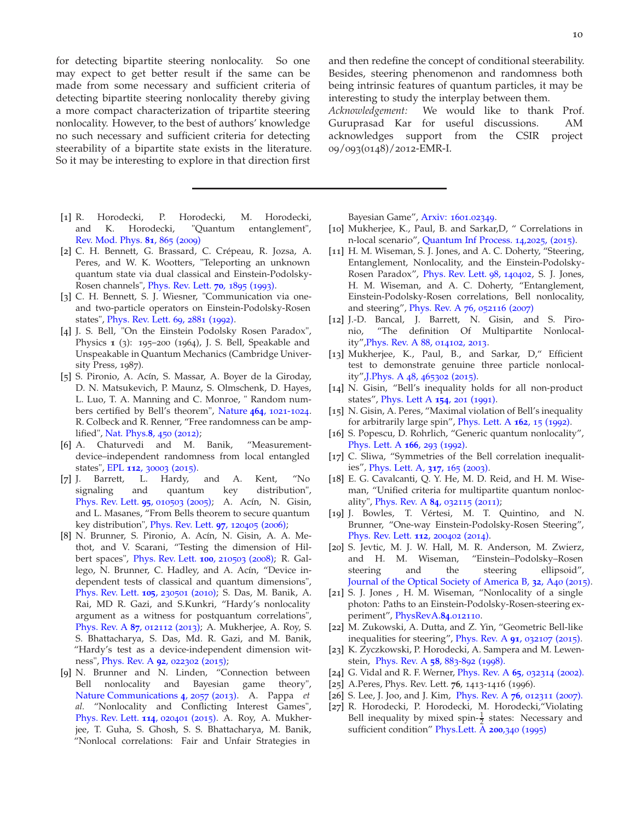for detecting bipartite steering nonlocality. So one may expect to get better result if the same can be made from some necessary and sufficient criteria of detecting bipartite steering nonlocality thereby giving a more compact characterization of tripartite steering nonlocality. However, to the best of authors' knowledge no such necessary and sufficient criteria for detecting steerability of a bipartite state exists in the literature. So it may be interesting to explore in that direction first

- [1] R. Horodecki, P. Horodecki, M. Horodecki, and K. Horodecki, "Quantum entanglement", [Rev. Mod. Phys.](http://journals.aps.org/rmp/abstract/10.1103/RevModPhys.81.865) **81**, 865 (2009)
- <span id="page-9-1"></span>[2] C. H. Bennett, G. Brassard, C. Crépeau, R. Jozsa, A. Peres, and W. K. Wootters, "Teleporting an unknown quantum state via dual classical and Einstein-Podolsky-Rosen channels", [Phys. Rev. Lett.](http://dx.doi.org/10.1103/PhysRevLett.70.1895) **70**, 1895 (1993).
- <span id="page-9-0"></span>[3] C. H. Bennett, S. J. Wiesner, "Communication via oneand two-particle operators on Einstein-Podolsky-Rosen states", [Phys. Rev. Lett.](http://dx.doi.org/10.1103/PhysRevLett.69.2881) 69, 2881 (1992).
- <span id="page-9-2"></span>[4] J. S. Bell, "On the Einstein Podolsky Rosen Paradox", Physics **1** (3): 195–200 (1964), J. S. Bell, Speakable and Unspeakable in Quantum Mechanics (Cambridge University Press, 1987).
- <span id="page-9-3"></span>[5] S. Pironio, A. Acín, S. Massar, A. Boyer de la Giroday, D. N. Matsukevich, P. Maunz, S. Olmschenk, D. Hayes, L. Luo, T. A. Manning and C. Monroe, " Random numbers certified by Bell's theorem", [Nature](http://www.nature.com/nature/journal/v464/n7291/full/nature09008.html) **464**, 1021-1024. R. Colbeck and R. Renner, "Free randomness can be amplified", [Nat. Phys.](http://www.nature.com/nphys/journal/v8/n6/full/nphys2300.html)**8**, 450 (2012);
- <span id="page-9-14"></span>[6] A. Chaturvedi and M. Banik, "Measurementdevice–independent randomness from local entangled states", EPL **112**, [30003](http://iopscience.iop.org/article/10.1209/ 0295-5075/112/30003/meta;jsessionid=D6C96ABB3E61 C42C542A9553E8A4F4DC.c3.iopscience.cld.iop.org) (2015).
- <span id="page-9-4"></span>[7] J. Barrett, L. Hardy, and A. Kent, "No signaling and quantum key distribution", [Phys. Rev. Lett.](http://dx.doi.org/10.1103/PhysRevLett.95.010503) **95**, 010503 (2005); A. Acín, N. Gisin, and L. Masanes, "From Bells theorem to secure quantum key distribution", [Phys. Rev. Lett.](http://dx.doi.org/10.1103/PhysRevLett.97.120405) **97**, 120405 (2006);
- <span id="page-9-5"></span>[8] N. Brunner, S. Pironio, A. Acín, N. Gisin, A. A. Methot, and V. Scarani, "Testing the dimension of Hilbert spaces", [Phys. Rev. Lett.](http://dx.doi.org/10.1103/PhysRevLett.100.210503) **100**, 210503 (2008); R. Gallego, N. Brunner, C. Hadley, and A. Acín, "Device independent tests of classical and quantum dimensions", [Phys. Rev. Lett.](http://dx.doi.org/10.1103/PhysRevLett.105.230501) **105**, 230501 (2010); S. Das, M. Banik, A. Rai, MD R. Gazi, and S.Kunkri, "Hardy's nonlocality argument as a witness for postquantum correlations", [Phys. Rev. A](https://journals.aps.org/pra/abstract/10.1103/PhysRevA.87.012112) **87**, 012112 (2013); A. Mukherjee, A. Roy, S. S. Bhattacharya, S. Das, Md. R. Gazi, and M. Banik, "Hardy's test as a device-independent dimension witness", [Phys. Rev. A](https://journals.aps.org/pra/abstract/10.1103/PhysRevA.92.022302) **92**, 022302 (2015);
- <span id="page-9-6"></span>[9] N. Brunner and N. Linden, "Connection between Bell nonlocality and Bayesian game theory", [Nature Communications](http://www.nature.com/ncomms/2013/130703/ncomms3057/full/ncomms3057.html#references) **4**, 2057 (2013). A. Pappa *et al.* "Nonlocality and Conflicting Interest Games", [Phys. Rev. Lett.](http://journals.aps.org/prl/abstract/10.1103/PhysRevLett.114.020401) **114**, 020401 (2015). A. Roy, A. Mukherjee, T. Guha, S. Ghosh, S. S. Bhattacharya, M. Banik, "Nonlocal correlations: Fair and Unfair Strategies in

and then redefine the concept of conditional steerability. Besides, steering phenomenon and randomness both being intrinsic features of quantum particles, it may be interesting to study the interplay between them.

*Acknowledgement:* We would like to thank Prof. Guruprasad Kar for useful discussions. AM acknowledges support from the CSIR project 09/093(0148)/2012-EMR-I.

Bayesian Game", [Arxiv:](http://arxiv.org/abs/1601.02349) 1601.02349.

- <span id="page-9-7"></span>[10] Mukherjee, K., Paul, B. and Sarkar,D, " Correlations in n-local scenario", [Quantum Inf Process.](http:// Quantum Inf Process. /14/ 2025) 14,2025, (2015).
- <span id="page-9-8"></span>[11] H. M. Wiseman, S. J. Jones, and A. C. Doherty, "Steering, Entanglement, Nonlocality, and the Einstein-Podolsky-Rosen Paradox", [Phys. Rev. Lett.](http://journals.aps.org/prl/abstract/10.1103/PhysRevLett.98.140402) 98, 140402, S. J. Jones, H. M. Wiseman, and A. C. Doherty, "Entanglement, Einstein-Podolsky-Rosen correlations, Bell nonlocality, and steering", [Phys. Rev. A](http://journals.aps.org/pra/abstract/10.1103/PhysRevA.76.052116) 76, 052116 (2007)
- <span id="page-9-9"></span>[12] J.-D. Bancal, J. Barrett, N. Gisin, and S. Pironio, "The definition Of Multipartite Nonlocality"[,Phys. Rev. A](http:// Phys. Rev.A .88.014102) 88, 014102, 2013.
- <span id="page-9-10"></span>[13] Mukherjee, K., Paul, B., and Sarkar, D," Efficient test to demonstrate genuine three particle nonlocality"[,J.Phys. A](http:// J. Phys. A: Math. Theor./48/465302) 48, 465302 (2015).
- <span id="page-9-11"></span>[14] N. Gisin, "Bell's inequality holds for all non-product states", [Phys. Lett A](http://www.sciencedirect.com/science/article/pii/037596019190805I) **154**, 201 (1991).
- <span id="page-9-12"></span>[15] N. Gisin, A. Peres, "Maximal violation of Bell's inequality for arbitrarily large spin", [Phys. Lett. A](http://www.sciencedirect.com/science/article/pii/037596019290949M) **162**, 15 (1992).
- <span id="page-9-13"></span>[16] S. Popescu, D. Rohrlich, "Generic quantum nonlocality", [Phys. Lett. A](http://www.sciencedirect.com/science/article/pii/037596019290711T) **166**, 293 (1992).
- <span id="page-9-15"></span>[17] C. Sliwa, "Symmetries of the Bell correlation inequalities", [Phys. Lett. A,](http://www.sciencedirect.com/science/article/pii/S0375960103011150) **317**, 165 (2003).
- <span id="page-9-16"></span>[18] E. G. Cavalcanti, Q. Y. He, M. D. Reid, and H. M. Wiseman, "Unified criteria for multipartite quantum nonlocality", [Phys. Rev. A](https:http://journals.aps.org/pra/abstract/10.1103/PhysRevA.84.032115) **84**, 032115 (2011);
- <span id="page-9-17"></span>[19] J. Bowles, T. Vértesi, M. T. Quintino, and N. Brunner, "One-way Einstein-Podolsky-Rosen Steering", [Phys. Rev. Lett.](http://dx.doi.org/10.1103/PhysRevLett.112.200402) **112**, 200402 (2014).
- <span id="page-9-18"></span>[20] S. Jevtic, M. J. W. Hall, M. R. Anderson, M. Zwierz, and H. M. Wiseman, "Einstein–Podolsky–Rosen steering and the steering ellipsoid", [Journal of the Optical Society of America B,](https://www.osapublishing.org/josab/abstract.cfm?uri=josab-32-4-A40) **32**, A40 (2015).
- <span id="page-9-20"></span>[21] S. J. Jones , H. M. Wiseman, "Nonlocality of a single photon: Paths to an Einstein-Podolsky-Rosen-steering experiment", [PhysRevA.](http://dx.doi.org/10.1103/PhysRevA.84.012110)**84**.012110.
- <span id="page-9-19"></span>[22] M. Zukowski, A. Dutta, and Z. Yin, "Geometric Bell-like inequalities for steering", [Phys. Rev. A](http://dx.doi.org/10.1103/PhysRevA.91.032107) **91**, 032107 (2015).
- <span id="page-9-21"></span>[23] K. Zyczkowski, P. Horodecki, A. Sampera and M. Lewenstein, [Phys. Rev. A](http://dx.doi.org/10.1103/PhysRevA.58.883) **58**, 883-892 (1998).
- <span id="page-9-22"></span>[24] G. Vidal and R. F. Werner, [Phys. Rev. A](http://dx.doi.org/10.1103/PhysRevA.65.032314) **65**, 032314 (2002).
- [25] A.Peres, Phys. Rev. Lett. **76**, 1413-1416 (1996).
- [26] S. Lee, J. Joo, and J. Kim, [Phys. Rev. A](http://dx.doi.org/10.1103/PhysRevA.76.012311) **76**, 012311 (2007).
- <span id="page-9-23"></span>[27] R. Horodecki, P. Horodecki, M. Horodecki,"Violating Bell inequality by mixed spin- $\frac{1}{2}$  states: Necessary and sufficient condition" [Phys.Lett. A](http://www.sciencedirect.com/science/article/pii/037596019500214N) **200**,340 (1995)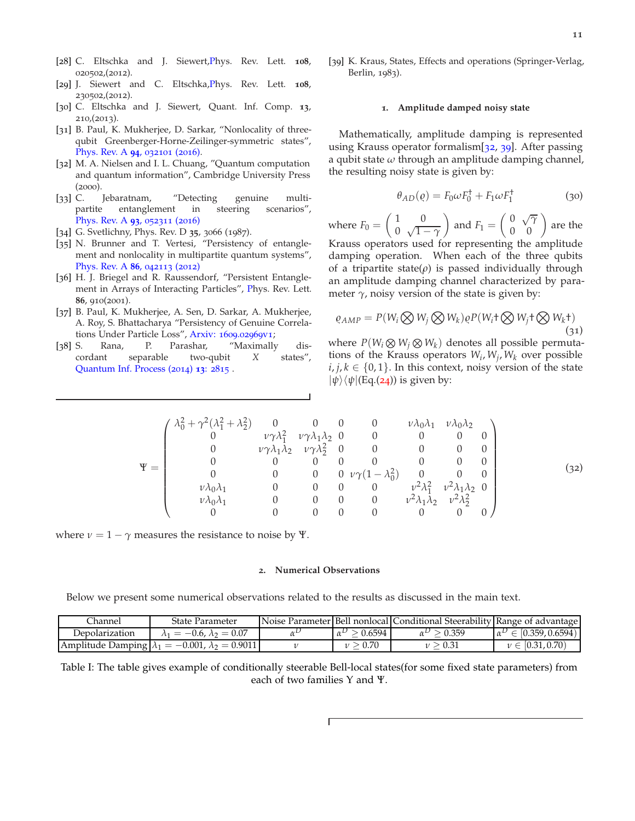- <span id="page-10-2"></span>[28] C. Eltschka and J. Siewert[,Ph](http://journals.aps.org/prl/abstract/10.1103/PhysRevLett.108.020502)ys. Rev. Lett. **108**, 020502,(2012).
- [29] J. Siewert and C. Eltschka[,Ph](http://journals.aps.org/prl/abstract/10.1103/PhysRevLett.108.230502)ys. Rev. Lett. **108**, 230502,(2012).
- <span id="page-10-11"></span>[30] C. Eltschka and J. Siewert, Quant. Inf. Comp. **13**, 210,(2013).
- <span id="page-10-3"></span>[31] B. Paul, K. Mukherjee, D. Sarkar, "Nonlocality of threequbit Greenberger-Horne-Zeilinger-symmetric states", [Phys. Rev. A](http://dx.doi.org/10.1103/PhysRevA.94.032101) **94**, 032101 (2016).
- <span id="page-10-4"></span>[32] M. A. Nielsen and I. L. Chuang, "Quantum computation and quantum information", Cambridge University Press (2000).
- <span id="page-10-0"></span>[33] C. Jebaratnam, "Detecting genuine multipartite entanglement in steering scenarios", [Phys. Rev. A](http://journals.aps.org/pra/abstract/10.1103/PhysRevA.93.052311) **93**, 052311 (2016)
- <span id="page-10-1"></span>[34] G. Svetlichny, Phys. Rev. D **35**, 3066 (1987).
- <span id="page-10-8"></span>[35] N. Brunner and T. Vertesi, "Persistency of entanglement and nonlocality in multipartite quantum systems", [Phys. Rev. A](http://journals.aps.org/pra/abstract/10.1103/PhysRevA.86.042113) **86**, 042113 (2012)
- <span id="page-10-9"></span>[36] H. J. Briegel and R. Raussendorf, "Persistent Entanglement in Arrays of Interacting Particles", [Ph](http://journals.aps.org/prl/abstract/10.1103/PhysRevLett.86.910)ys. Rev. Lett. **86**, 910(2001).
- <span id="page-10-10"></span>[37] B. Paul, K. Mukherjee, A. Sen, D. Sarkar, A. Mukherjee, A. Roy, S. Bhattacharya "Persistency of Genuine Correlations Under Particle Loss", [Arxiv:](http://arxiv.org/abs/1609.02969v1) 1609.02969v1;
- <span id="page-10-12"></span><span id="page-10-6"></span>[38] S. Rana, P. Parashar, "Maximally discordant separable two-qubit *X* states", [Quantum Inf. Process \(](http://link.springer.com/article/10.1007/s11128-014-0865-0)2014) **13**: 2815 .

<span id="page-10-13"></span>[39] K. Kraus, States, Effects and operations (Springer-Verlag, Berlin, 1983).

### <span id="page-10-5"></span>**1. Amplitude damped noisy state**

Mathematically, amplitude damping is represented using Krauss operator formalism[[32](#page-10-4), [39](#page-10-13)]. After passing a qubit state *ω* through an amplitude damping channel, the resulting noisy state is given by:

$$
\theta_{AD}(\varrho) = F_0 \omega F_0^{\dagger} + F_1 \omega F_1^{\dagger} \tag{30}
$$

where  $F_0 =$  $(1 0)$  $\int_0^1 \sqrt{1-\gamma}$  $\overline{ }$ and  $F_1 =$  $\begin{pmatrix} 0 & \sqrt{\gamma} \\ 0 & 0 \end{pmatrix}$  are the Krauss operators used for representing the amplitude damping operation. When each of the three qubits of a tripartite state $(\rho)$  is passed individually through an amplitude damping channel characterized by parameter  $\gamma$ , noisy version of the state is given by:

$$
\varrho_{AMP} = P(W_i \bigotimes W_j \bigotimes W_k) \varrho P(W_i \dagger \bigotimes W_j \dagger \bigotimes W_k \dagger)
$$
\n(31)

where  $P(W_i \otimes W_j \otimes W_k)$  denotes all possible permutations of the Krauss operators *W<sup>i</sup>* , *W<sup>j</sup>* , *W<sup>k</sup>* over possible  $i, j, k \in \{0, 1\}$ . In this context, noisy version of the state  $|\psi\rangle\langle\psi|$ (Eq.([24](#page-6-3))) is given by:

$$
\Psi = \begin{pmatrix}\n\lambda_0^2 + \gamma^2(\lambda_1^2 + \lambda_2^2) & 0 & 0 & 0 & 0 & \nu \lambda_0 \lambda_1 & \nu \lambda_0 \lambda_2 \\
0 & \nu \gamma \lambda_1^2 & \nu \gamma \lambda_1 \lambda_2 & 0 & 0 & 0 & 0 \\
0 & \nu \gamma \lambda_1 \lambda_2 & \nu \gamma \lambda_2^2 & 0 & 0 & 0 & 0 \\
0 & 0 & 0 & 0 & 0 & 0 & 0 & 0 \\
0 & 0 & 0 & 0 & \nu \gamma (1 - \lambda_0^2) & 0 & 0 & 0 \\
\nu \lambda_0 \lambda_1 & 0 & 0 & 0 & \nu^2 \lambda_1^2 & \nu^2 \lambda_1 \lambda_2 & 0 \\
\nu \lambda_0 \lambda_1 & 0 & 0 & 0 & 0 & \nu^2 \lambda_1 \lambda_2 & \nu^2 \lambda_2^2 \\
0 & 0 & 0 & 0 & 0 & 0 & 0 & 0\n\end{pmatrix}
$$
\n(32)

where  $\nu = 1 - \gamma$  measures the resistance to noise by Ψ.

### <span id="page-10-7"></span>**2. Numerical Observations**

Below we present some numerical observations related to the results as discussed in the main text.

| .'hannel                    | State Parameter                        |                    | Noise Parameter Bell nonlocal Conditional Steerability Range of advantage |                                       |
|-----------------------------|----------------------------------------|--------------------|---------------------------------------------------------------------------|---------------------------------------|
| Depolarization              | $=-0.6, \lambda_2=0.07$<br>$\Lambda$ 1 | 0.6594<br>$\alpha$ | 0.359                                                                     | $' \in [0.359, 0.6594)$<br>$\alpha^L$ |
| Amplitude Damping $\lambda$ | $= -0.001, \lambda_2 = 0.9011$         | > 0.70             | 0.31                                                                      | $\nu \in [0.31, 0.70)$                |

Table I: The table gives example of conditionally steerable Bell-local states(for some fixed state parameters) from each of two families Υ and Ψ.